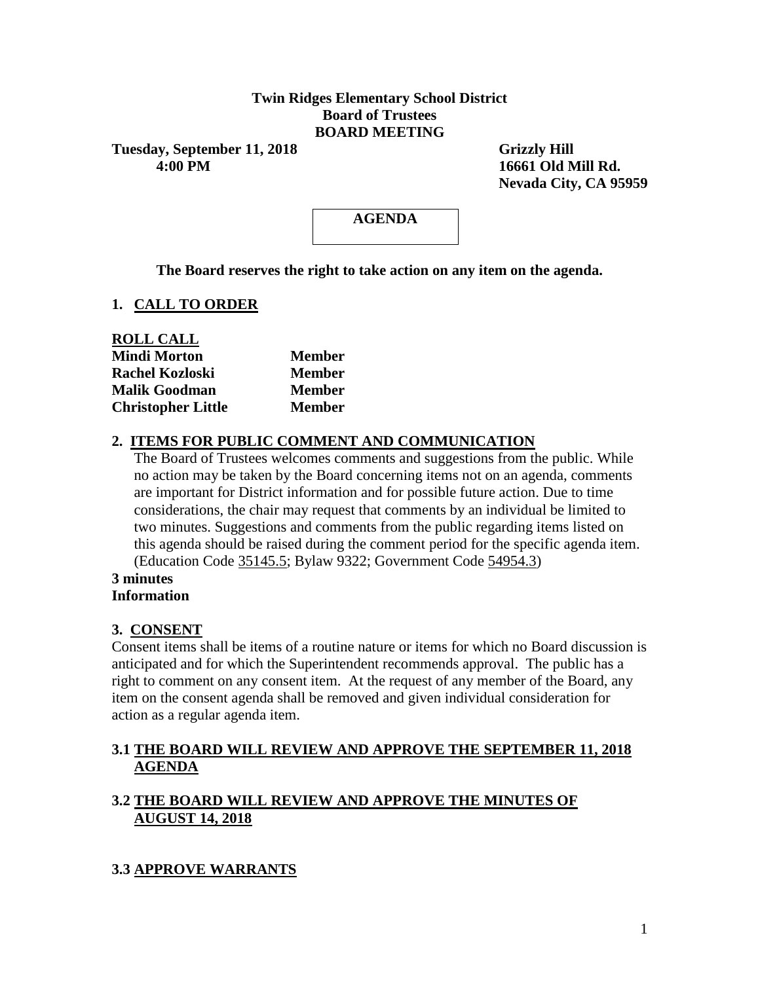# **Twin Ridges Elementary School District Board of Trustees BOARD MEETING**

Tuesday, September 11, 2018 Grizzly Hill  **4:00 PM 16661 Old Mill Rd.**

 **Nevada City, CA 95959**

# **AGENDA**

**The Board reserves the right to take action on any item on the agenda.**

# **1. CALL TO ORDER**

| <b>ROLL CALL</b>          |               |
|---------------------------|---------------|
| <b>Mindi Morton</b>       | <b>Member</b> |
| <b>Rachel Kozloski</b>    | <b>Member</b> |
| <b>Malik Goodman</b>      | <b>Member</b> |
| <b>Christopher Little</b> | <b>Member</b> |

# **2. ITEMS FOR PUBLIC COMMENT AND COMMUNICATION**

The Board of Trustees welcomes comments and suggestions from the public. While no action may be taken by the Board concerning items not on an agenda, comments are important for District information and for possible future action. Due to time considerations, the chair may request that comments by an individual be limited to two minutes. Suggestions and comments from the public regarding items listed on this agenda should be raised during the comment period for the specific agenda item. (Education Code 35145.5; Bylaw 9322; Government Code 54954.3)

#### **3 minutes Information**

## **3. CONSENT**

Consent items shall be items of a routine nature or items for which no Board discussion is anticipated and for which the Superintendent recommends approval. The public has a right to comment on any consent item. At the request of any member of the Board, any item on the consent agenda shall be removed and given individual consideration for action as a regular agenda item.

# **3.1 THE BOARD WILL REVIEW AND APPROVE THE SEPTEMBER 11, 2018 AGENDA**

# **3.2 THE BOARD WILL REVIEW AND APPROVE THE MINUTES OF AUGUST 14, 2018**

# **3.3 APPROVE WARRANTS**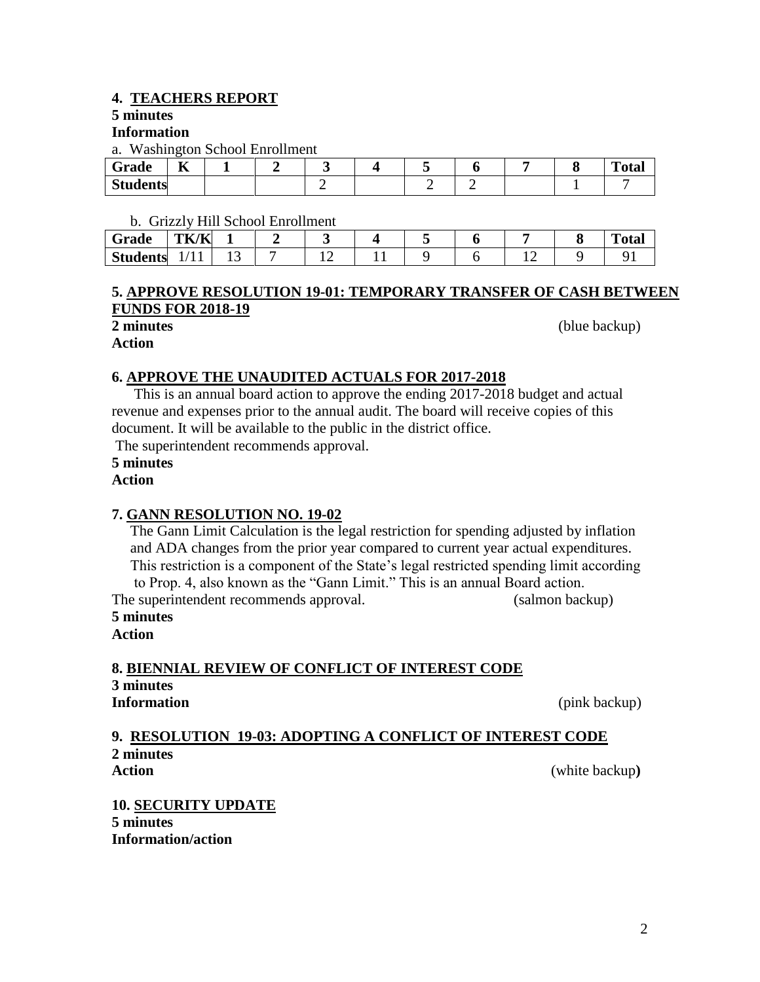# **4. TEACHERS REPORT**

# **5 minutes**

## **Information**

a. Washington School Enrollment

| ~<br>Grade                  | $-$<br>n. |  |  |   |  | m<br>$\sim$ 4 $\sim$<br>vial |
|-----------------------------|-----------|--|--|---|--|------------------------------|
| $\Omega$<br><b>Students</b> |           |  |  | - |  |                              |

# b. Grizzly Hill School Enrollment

| Grade           | <b>TK/K</b>         |  |  |  |  | <b>Total</b> |
|-----------------|---------------------|--|--|--|--|--------------|
| <b>Students</b> | $\mathbf{L}$<br>. . |  |  |  |  |              |

## **5. APPROVE RESOLUTION 19-01: TEMPORARY TRANSFER OF CASH BETWEEN FUNDS FOR 2018-19**

**Action**

**2 minutes** (blue backup)

# **6. APPROVE THE UNAUDITED ACTUALS FOR 2017-2018**

 This is an annual board action to approve the ending 2017-2018 budget and actual revenue and expenses prior to the annual audit. The board will receive copies of this document. It will be available to the public in the district office.

The superintendent recommends approval.

# **5 minutes**

# **Action**

# **7. GANN RESOLUTION NO. 19-02**

 The Gann Limit Calculation is the legal restriction for spending adjusted by inflation and ADA changes from the prior year compared to current year actual expenditures. This restriction is a component of the State's legal restricted spending limit according to Prop. 4, also known as the "Gann Limit." This is an annual Board action. The superintendent recommends approval. (salmon backup)

# **5 minutes**

**Action**

# **8. BIENNIAL REVIEW OF CONFLICT OF INTEREST CODE 3 minutes Information** (pink backup)

## **9. RESOLUTION 19-03: ADOPTING A CONFLICT OF INTEREST CODE 2 minutes Action** (white backup**)**

**10. SECURITY UPDATE 5 minutes Information/action**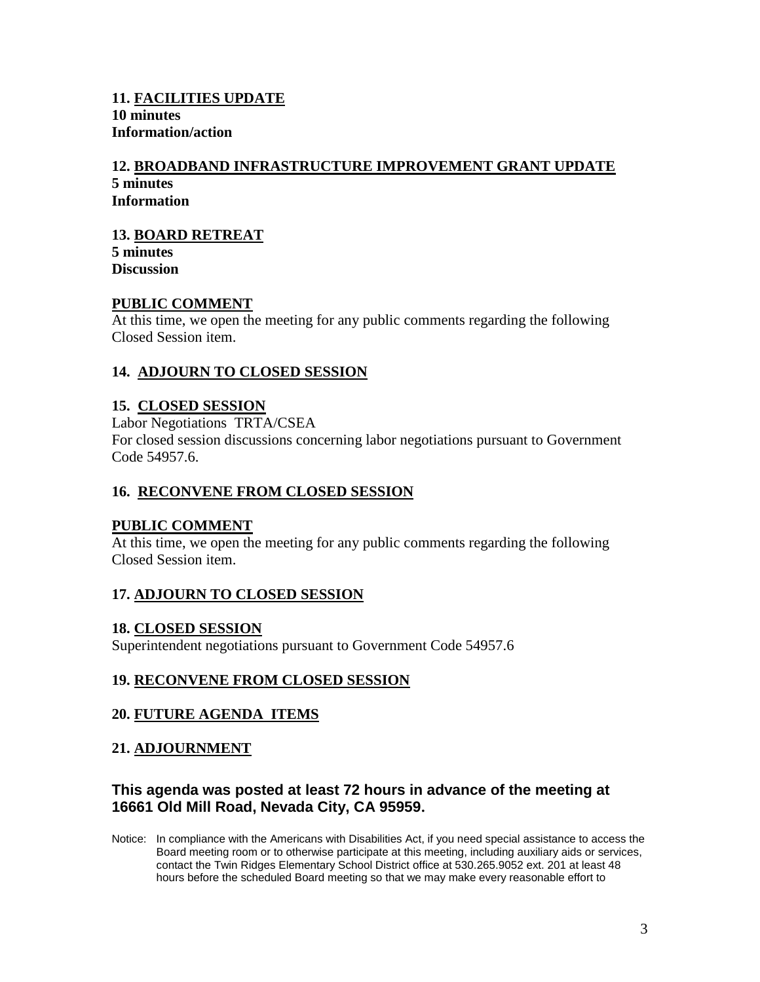# **11. FACILITIES UPDATE 10 minutes Information/action**

#### **12. BROADBAND INFRASTRUCTURE IMPROVEMENT GRANT UPDATE 5 minutes Information**

# **13. BOARD RETREAT**

**5 minutes Discussion**

## **PUBLIC COMMENT**

At this time, we open the meeting for any public comments regarding the following Closed Session item.

# **14. ADJOURN TO CLOSED SESSION**

## **15. CLOSED SESSION**

Labor Negotiations TRTA/CSEA For closed session discussions concerning labor negotiations pursuant to Government Code 54957.6.

## **16. RECONVENE FROM CLOSED SESSION**

## **PUBLIC COMMENT**

At this time, we open the meeting for any public comments regarding the following Closed Session item.

## **17. ADJOURN TO CLOSED SESSION**

## **18. CLOSED SESSION**

Superintendent negotiations pursuant to Government Code 54957.6

## **19. RECONVENE FROM CLOSED SESSION**

## **20. FUTURE AGENDA ITEMS**

## **21. ADJOURNMENT**

# **This agenda was posted at least 72 hours in advance of the meeting at 16661 Old Mill Road, Nevada City, CA 95959.**

Notice: In compliance with the Americans with Disabilities Act, if you need special assistance to access the Board meeting room or to otherwise participate at this meeting, including auxiliary aids or services, contact the Twin Ridges Elementary School District office at 530.265.9052 ext. 201 at least 48 hours before the scheduled Board meeting so that we may make every reasonable effort to